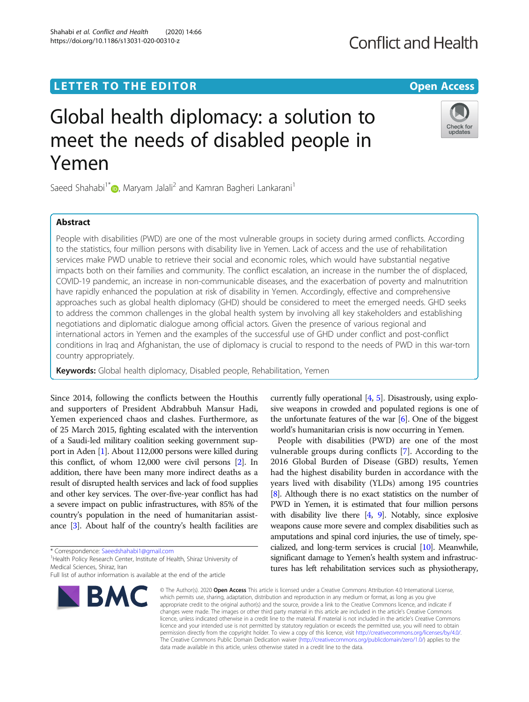# L E T T ER TO TH E EDI TOR Open [Access](http://crossmark.crossref.org/dialog/?doi=10.1186/s13031-020-00310-z&domain=pdf)

# Global health diplomacy: a solution to meet the needs of disabled people in Yemen

Saeed Shahabi<sup>1\*</sup> [,](http://orcid.org/0000-0002-8190-2190) Maryam Jalali<sup>2</sup> and Kamran Bagheri Lankarani<sup>1</sup>

# **Abstract**

People with disabilities (PWD) are one of the most vulnerable groups in society during armed conflicts. According to the statistics, four million persons with disability live in Yemen. Lack of access and the use of rehabilitation services make PWD unable to retrieve their social and economic roles, which would have substantial negative impacts both on their families and community. The conflict escalation, an increase in the number the of displaced, COVID-19 pandemic, an increase in non-communicable diseases, and the exacerbation of poverty and malnutrition have rapidly enhanced the population at risk of disability in Yemen. Accordingly, effective and comprehensive approaches such as global health diplomacy (GHD) should be considered to meet the emerged needs. GHD seeks to address the common challenges in the global health system by involving all key stakeholders and establishing negotiations and diplomatic dialogue among official actors. Given the presence of various regional and international actors in Yemen and the examples of the successful use of GHD under conflict and post-conflict conditions in Iraq and Afghanistan, the use of diplomacy is crucial to respond to the needs of PWD in this war-torn country appropriately.

Keywords: Global health diplomacy, Disabled people, Rehabilitation, Yemen

Since 2014, following the conflicts between the Houthis and supporters of President Abdrabbuh Mansur Hadi, Yemen experienced chaos and clashes. Furthermore, as of 25 March 2015, fighting escalated with the intervention of a Saudi-led military coalition seeking government support in Aden [\[1\]](#page-2-0). About 112,000 persons were killed during this conflict, of whom 12,000 were civil persons [\[2](#page-2-0)]. In addition, there have been many more indirect deaths as a result of disrupted health services and lack of food supplies and other key services. The over-five-year conflict has had a severe impact on public infrastructures, with 85% of the country's population in the need of humanitarian assistance [\[3\]](#page-2-0). About half of the country's health facilities are

\* Correspondence: [Saeedshahabi1@gmail.com](mailto:Saeedshahabi1@gmail.com) <sup>1</sup>

**BMC** 

<sup>1</sup> Health Policy Research Center, Institute of Health, Shiraz University of Medical Sciences, Shiraz, Iran



vulnerable groups during conflicts [[7\]](#page-2-0). According to the 2016 Global Burden of Disease (GBD) results, Yemen had the highest disability burden in accordance with the years lived with disability (YLDs) among 195 countries [[8](#page-2-0)]. Although there is no exact statistics on the number of PWD in Yemen, it is estimated that four million persons with disability live there  $[4, 9]$  $[4, 9]$  $[4, 9]$  $[4, 9]$ . Notably, since explosive weapons cause more severe and complex disabilities such as amputations and spinal cord injuries, the use of timely, specialized, and long-term services is crucial [[10\]](#page-2-0). Meanwhile, significant damage to Yemen's health system and infrastructures has left rehabilitation services such as physiotherapy,

© The Author(s), 2020 **Open Access** This article is licensed under a Creative Commons Attribution 4.0 International License, which permits use, sharing, adaptation, distribution and reproduction in any medium or format, as long as you give appropriate credit to the original author(s) and the source, provide a link to the Creative Commons licence, and indicate if changes were made. The images or other third party material in this article are included in the article's Creative Commons licence, unless indicated otherwise in a credit line to the material. If material is not included in the article's Creative Commons licence and your intended use is not permitted by statutory regulation or exceeds the permitted use, you will need to obtain permission directly from the copyright holder. To view a copy of this licence, visit [http://creativecommons.org/licenses/by/4.0/.](http://creativecommons.org/licenses/by/4.0/) The Creative Commons Public Domain Dedication waiver [\(http://creativecommons.org/publicdomain/zero/1.0/](http://creativecommons.org/publicdomain/zero/1.0/)) applies to the data made available in this article, unless otherwise stated in a credit line to the data.





Full list of author information is available at the end of the article

Shahabi et al. Conflict and Health (2020) 14:66 https://doi.org/10.1186/s13031-020-00310-z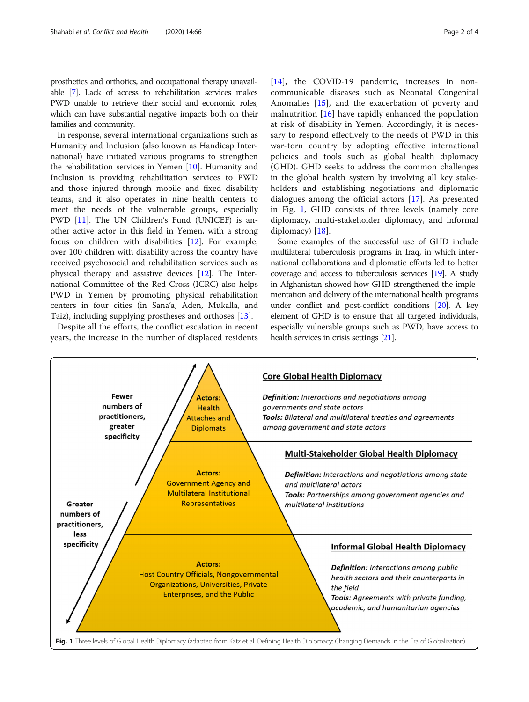prosthetics and orthotics, and occupational therapy unavailable [[7](#page-2-0)]. Lack of access to rehabilitation services makes PWD unable to retrieve their social and economic roles, which can have substantial negative impacts both on their families and community.

In response, several international organizations such as Humanity and Inclusion (also known as Handicap International) have initiated various programs to strengthen the rehabilitation services in Yemen [\[10](#page-2-0)]. Humanity and Inclusion is providing rehabilitation services to PWD and those injured through mobile and fixed disability teams, and it also operates in nine health centers to meet the needs of the vulnerable groups, especially PWD [\[11](#page-2-0)]. The UN Children's Fund (UNICEF) is another active actor in this field in Yemen, with a strong focus on children with disabilities [\[12\]](#page-2-0). For example, over 100 children with disability across the country have received psychosocial and rehabilitation services such as physical therapy and assistive devices [[12](#page-2-0)]. The International Committee of the Red Cross (ICRC) also helps PWD in Yemen by promoting physical rehabilitation centers in four cities (in Sana'a, Aden, Mukalla, and Taiz), including supplying prostheses and orthoses [[13\]](#page-2-0).

Despite all the efforts, the conflict escalation in recent years, the increase in the number of displaced residents [[14\]](#page-2-0), the COVID-19 pandemic, increases in noncommunicable diseases such as Neonatal Congenital Anomalies [\[15](#page-2-0)], and the exacerbation of poverty and malnutrition [[16\]](#page-3-0) have rapidly enhanced the population at risk of disability in Yemen. Accordingly, it is necessary to respond effectively to the needs of PWD in this war-torn country by adopting effective international policies and tools such as global health diplomacy (GHD). GHD seeks to address the common challenges in the global health system by involving all key stakeholders and establishing negotiations and diplomatic dialogues among the official actors [\[17](#page-3-0)]. As presented in Fig. 1, GHD consists of three levels (namely core diplomacy, multi-stakeholder diplomacy, and informal diplomacy) [[18](#page-3-0)].

Some examples of the successful use of GHD include multilateral tuberculosis programs in Iraq, in which international collaborations and diplomatic efforts led to better coverage and access to tuberculosis services [[19\]](#page-3-0). A study in Afghanistan showed how GHD strengthened the implementation and delivery of the international health programs under conflict and post-conflict conditions [[20](#page-3-0)]. A key element of GHD is to ensure that all targeted individuals, especially vulnerable groups such as PWD, have access to health services in crisis settings [[21](#page-3-0)].

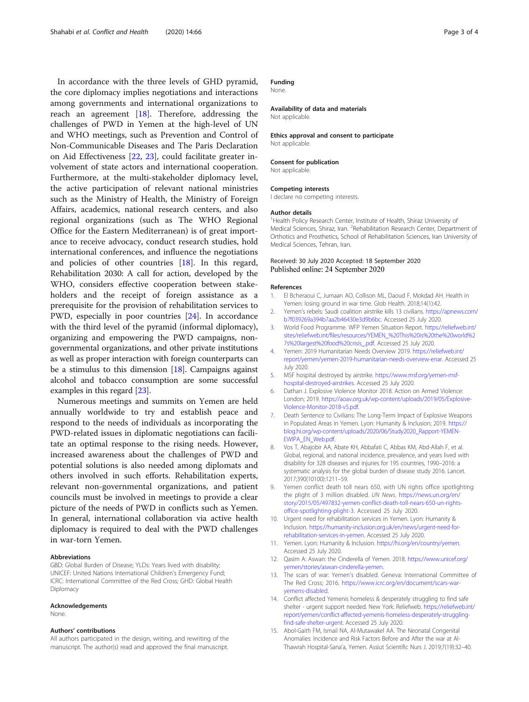<span id="page-2-0"></span>In accordance with the three levels of GHD pyramid, the core diplomacy implies negotiations and interactions among governments and international organizations to reach an agreement [[18\]](#page-3-0). Therefore, addressing the challenges of PWD in Yemen at the high-level of UN and WHO meetings, such as Prevention and Control of Non-Communicable Diseases and The Paris Declaration on Aid Effectiveness [\[22,](#page-3-0) [23\]](#page-3-0), could facilitate greater involvement of state actors and international cooperation. Furthermore, at the multi-stakeholder diplomacy level, the active participation of relevant national ministries such as the Ministry of Health, the Ministry of Foreign Affairs, academics, national research centers, and also regional organizations (such as The WHO Regional Office for the Eastern Mediterranean) is of great importance to receive advocacy, conduct research studies, hold international conferences, and influence the negotiations and policies of other countries [[18](#page-3-0)]. In this regard, Rehabilitation 2030: A call for action, developed by the WHO, considers effective cooperation between stakeholders and the receipt of foreign assistance as a prerequisite for the provision of rehabilitation services to PWD, especially in poor countries [[24](#page-3-0)]. In accordance with the third level of the pyramid (informal diplomacy), organizing and empowering the PWD campaigns, nongovernmental organizations, and other private institutions as well as proper interaction with foreign counterparts can be a stimulus to this dimension  $[18]$  $[18]$ . Campaigns against alcohol and tobacco consumption are some successful examples in this regard [\[23\]](#page-3-0).

Numerous meetings and summits on Yemen are held annually worldwide to try and establish peace and respond to the needs of individuals as incorporating the PWD-related issues in diplomatic negotiations can facilitate an optimal response to the rising needs. However, increased awareness about the challenges of PWD and potential solutions is also needed among diplomats and others involved in such efforts. Rehabilitation experts, relevant non-governmental organizations, and patient councils must be involved in meetings to provide a clear picture of the needs of PWD in conflicts such as Yemen. In general, international collaboration via active health diplomacy is required to deal with the PWD challenges in war-torn Yemen.

#### Abbreviations

GBD: Global Burden of Disease; YLDs: Years lived with disability; UNICEF: United Nations International Children's Emergency Fund; ICRC: International Committee of the Red Cross; GHD: Global Health Diplomacy

#### Acknowledgements

None.

#### Authors' contributions

All authors participated in the design, writing, and rewriting of the manuscript. The author(s) read and approved the final manuscript.

# Funding

None.

Availability of data and materials Not applicable

Ethics approval and consent to participate Not applicable.

#### Consent for publication

Not applicable.

# Competing interests

I declare no competing interests.

#### Author details

<sup>1</sup> Health Policy Research Center, Institute of Health, Shiraz University of Medical Sciences, Shiraz, Iran. <sup>2</sup> Rehabilitation Research Center, Department of Orthotics and Prosthetics, School of Rehabilitation Sciences, Iran University of Medical Sciences, Tehran, Iran.

### Received: 30 July 2020 Accepted: 18 September 2020 Published online: 24 September 2020

#### References

- 1. El Bcheraoui C, Jumaan AO, Collison ML, Daoud F, Mokdad AH. Health in Yemen: losing ground in war time. Glob Health. 2018;14(1):42.
- 2. Yemen's rebels: Saudi coalition airstrike kills 13 civilians. [https://apnews.com/](https://apnews.com/b7f039269a394b7aa2b46430e3d9b6bc) [b7f039269a394b7aa2b46430e3d9b6bc](https://apnews.com/b7f039269a394b7aa2b46430e3d9b6bc). Accessed 25 July 2020.
- 3. World Food Programme. WFP Yemen Situation Report. [https://reliefweb.int/](https://reliefweb.int/sites/reliefweb.int/files/resources/YEMEN_%20This%20is%20the%20world%27s%20largest%20food%20crisis_.pdf) [sites/reliefweb.int/files/resources/YEMEN\\_%20This%20is%20the%20world%2](https://reliefweb.int/sites/reliefweb.int/files/resources/YEMEN_%20This%20is%20the%20world%27s%20largest%20food%20crisis_.pdf) [7s%20largest%20food%20crisis\\_.pdf.](https://reliefweb.int/sites/reliefweb.int/files/resources/YEMEN_%20This%20is%20the%20world%27s%20largest%20food%20crisis_.pdf) Accessed 25 July 2020.
- 4. Yemen: 2019 Humanitarian Needs Overview 2019. [https://reliefweb.int/](https://reliefweb.int/report/yemen/yemen-2019-humanitarian-needs-overview-enar) [report/yemen/yemen-2019-humanitarian-needs-overview-enar.](https://reliefweb.int/report/yemen/yemen-2019-humanitarian-needs-overview-enar) Accessed 25 July 2020.
- 5. MSF hospital destroyed by airstrike. [https://www.msf.org/yemen-msf](https://www.msf.org/yemen-msf-hospital-destroyed-airstrikes)[hospital-destroyed-airstrikes](https://www.msf.org/yemen-msf-hospital-destroyed-airstrikes). Accessed 25 July 2020.
- 6. Dathan J. Explosive Violence Monitor 2018. Action on Armed Violence: London; 2019. [https://aoav.org.uk/wp-content/uploads/2019/05/Explosive-](https://aoav.org.uk/wp-content/uploads/2019/05/Explosive-Violence-Monitor-2018-v5.pdf)[Violence-Monitor-2018-v5.pdf.](https://aoav.org.uk/wp-content/uploads/2019/05/Explosive-Violence-Monitor-2018-v5.pdf)
- 7. Death Sentence to Civilians: The Long-Term Impact of Explosive Weapons in Populated Areas in Yemen. Lyon: Humanity & Inclusion; 2019. [https://](https://blog.hi.org/wp-content/uploads/2020/06/Study2020_Rapport-YEMEN-EWIPA_EN_Web.pdf) [blog.hi.org/wp-content/uploads/2020/06/Study2020\\_Rapport-YEMEN-](https://blog.hi.org/wp-content/uploads/2020/06/Study2020_Rapport-YEMEN-EWIPA_EN_Web.pdf)[EWIPA\\_EN\\_Web.pdf.](https://blog.hi.org/wp-content/uploads/2020/06/Study2020_Rapport-YEMEN-EWIPA_EN_Web.pdf)
- 8. Vos T, Abajobir AA, Abate KH, Abbafati C, Abbas KM, Abd-Allah F, et al. Global, regional, and national incidence, prevalence, and years lived with disability for 328 diseases and injuries for 195 countries, 1990–2016: a systematic analysis for the global burden of disease study 2016. Lancet. 2017;390(10100):1211–59.
- 9. Yemen conflict death toll nears 650, with UN rights office spotlighting the plight of 3 million disabled. UN News. [https://news.un.org/en/](https://news.un.org/en/story/2015/05/497832-yemen-conflict-death-toll-nears-650-un-rights-office-spotlighting-plight-3) [story/2015/05/497832-yemen-conflict-death-toll-nears-650-un-rights](https://news.un.org/en/story/2015/05/497832-yemen-conflict-death-toll-nears-650-un-rights-office-spotlighting-plight-3)[office-spotlighting-plight-3](https://news.un.org/en/story/2015/05/497832-yemen-conflict-death-toll-nears-650-un-rights-office-spotlighting-plight-3). Accessed 25 July 2020.
- 10. Urgent need for rehabilitation services in Yemen. Lyon: Humanity & Inclusion. [https://humanity-inclusion.org.uk/en/news/urgent-need-for](https://humanity-inclusion.org.uk/en/news/urgent-need-for-rehabilitation-services-in-yemen)[rehabilitation-services-in-yemen.](https://humanity-inclusion.org.uk/en/news/urgent-need-for-rehabilitation-services-in-yemen) Accessed 25 July 2020.
- 11. Yemen. Lyon: Humanity & Inclusion. <https://hi.org/en/country/yemen>. Accessed 25 July 2020.
- 12. Qasim A: Aswan: the Cinderella of Yemen. 2018. [https://www.unicef.org/](https://www.unicef.org/yemen/stories/aswan-cinderella-yemen) [yemen/stories/aswan-cinderella-yemen](https://www.unicef.org/yemen/stories/aswan-cinderella-yemen).
- 13. The scars of war: Yemen's disabled. Geneva: International Committee of The Red Cross; 2016. [https://www.icrc.org/en/document/scars-war](https://www.icrc.org/en/document/scars-war-yemens-disabled)[yemens-disabled](https://www.icrc.org/en/document/scars-war-yemens-disabled).
- 14. Conflict affected Yemenis homeless & desperately struggling to find safe shelter - urgent support needed. New York: Reliefweb. [https://reliefweb.int/](https://reliefweb.int/report/yemen/conflict-affected-yemenis-homeless-desperately-struggling-find-safe-shelter-urgent) [report/yemen/conflict-affected-yemenis-homeless-desperately-struggling](https://reliefweb.int/report/yemen/conflict-affected-yemenis-homeless-desperately-struggling-find-safe-shelter-urgent)[find-safe-shelter-urgent.](https://reliefweb.int/report/yemen/conflict-affected-yemenis-homeless-desperately-struggling-find-safe-shelter-urgent) Accessed 25 July 2020.
- 15. Abol-Gaith FM, Ismail NA, Al-Mutawakel AA. The Neonatal Congenital Anomalies: Incidence and Risk Factors Before and After the war at Al-Thawrah Hospital-Sana'a, Yemen. Assiut Scientific Nurs J. 2019;7(19):32–40.